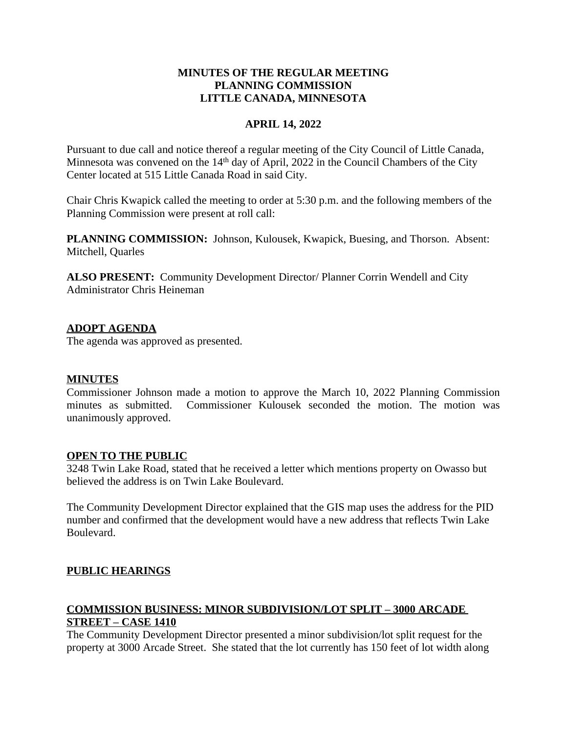# **MINUTES OF THE REGULAR MEETING PLANNING COMMISSION LITTLE CANADA, MINNESOTA**

## **APRIL 14, 2022**

Pursuant to due call and notice thereof a regular meeting of the City Council of Little Canada, Minnesota was convened on the 14<sup>th</sup> day of April, 2022 in the Council Chambers of the City Center located at 515 Little Canada Road in said City.

Chair Chris Kwapick called the meeting to order at 5:30 p.m. and the following members of the Planning Commission were present at roll call:

**PLANNING COMMISSION:** Johnson, Kulousek, Kwapick, Buesing, and Thorson. Absent: Mitchell, Quarles

**ALSO PRESENT:** Community Development Director/ Planner Corrin Wendell and City Administrator Chris Heineman

## **ADOPT AGENDA**

The agenda was approved as presented.

## **MINUTES**

Commissioner Johnson made a motion to approve the March 10, 2022 Planning Commission minutes as submitted. Commissioner Kulousek seconded the motion. The motion was unanimously approved.

## **OPEN TO THE PUBLIC**

3248 Twin Lake Road, stated that he received a letter which mentions property on Owasso but believed the address is on Twin Lake Boulevard.

The Community Development Director explained that the GIS map uses the address for the PID number and confirmed that the development would have a new address that reflects Twin Lake Boulevard.

# **PUBLIC HEARINGS**

## **COMMISSION BUSINESS: MINOR SUBDIVISION/LOT SPLIT – 3000 ARCADE STREET – CASE 1410**

The Community Development Director presented a minor subdivision/lot split request for the property at 3000 Arcade Street. She stated that the lot currently has 150 feet of lot width along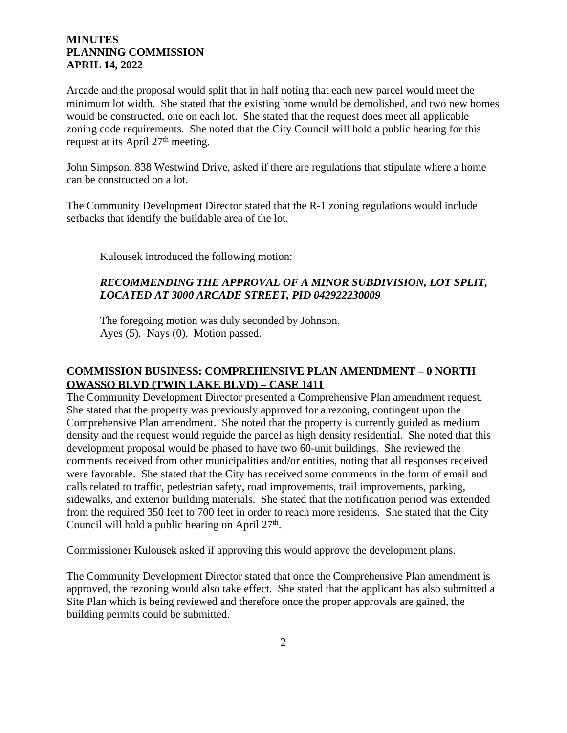Arcade and the proposal would split that in half noting that each new parcel would meet the minimum lot width. She stated that the existing home would be demolished, and two new homes would be constructed, one on each lot. She stated that the request does meet all applicable zoning code requirements. She noted that the City Council will hold a public hearing for this request at its April 27<sup>th</sup> meeting.

John Simpson, 838 Westwind Drive, asked if there are regulations that stipulate where a home can be constructed on a lot.

The Community Development Director stated that the R-1 zoning regulations would include setbacks that identify the buildable area of the lot.

Kulousek introduced the following motion:

## *RECOMMENDING THE APPROVAL OF A MINOR SUBDIVISION, LOT SPLIT, LOCATED AT 3000 ARCADE STREET, PID 042922230009*

The foregoing motion was duly seconded by Johnson. Ayes (5). Nays (0). Motion passed.

# **COMMISSION BUSINESS: COMPREHENSIVE PLAN AMENDMENT – 0 NORTH OWASSO BLVD (TWIN LAKE BLVD) – CASE 1411**

The Community Development Director presented a Comprehensive Plan amendment request. She stated that the property was previously approved for a rezoning, contingent upon the Comprehensive Plan amendment. She noted that the property is currently guided as medium density and the request would reguide the parcel as high density residential. She noted that this development proposal would be phased to have two 60-unit buildings. She reviewed the comments received from other municipalities and/or entities, noting that all responses received were favorable. She stated that the City has received some comments in the form of email and calls related to traffic, pedestrian safety, road improvements, trail improvements, parking, sidewalks, and exterior building materials. She stated that the notification period was extended from the required 350 feet to 700 feet in order to reach more residents. She stated that the City Council will hold a public hearing on April 27<sup>th</sup>.

Commissioner Kulousek asked if approving this would approve the development plans.

The Community Development Director stated that once the Comprehensive Plan amendment is approved, the rezoning would also take effect. She stated that the applicant has also submitted a Site Plan which is being reviewed and therefore once the proper approvals are gained, the building permits could be submitted.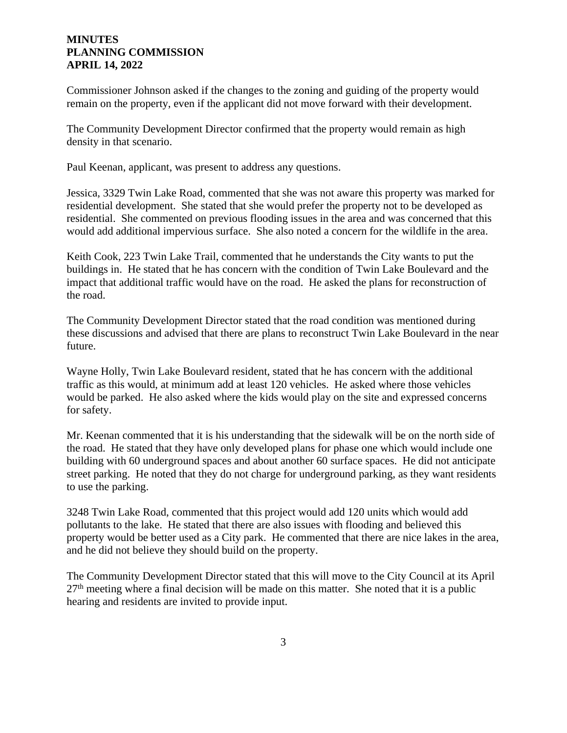Commissioner Johnson asked if the changes to the zoning and guiding of the property would remain on the property, even if the applicant did not move forward with their development.

The Community Development Director confirmed that the property would remain as high density in that scenario.

Paul Keenan, applicant, was present to address any questions.

Jessica, 3329 Twin Lake Road, commented that she was not aware this property was marked for residential development. She stated that she would prefer the property not to be developed as residential. She commented on previous flooding issues in the area and was concerned that this would add additional impervious surface. She also noted a concern for the wildlife in the area.

Keith Cook, 223 Twin Lake Trail, commented that he understands the City wants to put the buildings in. He stated that he has concern with the condition of Twin Lake Boulevard and the impact that additional traffic would have on the road. He asked the plans for reconstruction of the road.

The Community Development Director stated that the road condition was mentioned during these discussions and advised that there are plans to reconstruct Twin Lake Boulevard in the near future.

Wayne Holly, Twin Lake Boulevard resident, stated that he has concern with the additional traffic as this would, at minimum add at least 120 vehicles. He asked where those vehicles would be parked. He also asked where the kids would play on the site and expressed concerns for safety.

Mr. Keenan commented that it is his understanding that the sidewalk will be on the north side of the road. He stated that they have only developed plans for phase one which would include one building with 60 underground spaces and about another 60 surface spaces. He did not anticipate street parking. He noted that they do not charge for underground parking, as they want residents to use the parking.

3248 Twin Lake Road, commented that this project would add 120 units which would add pollutants to the lake. He stated that there are also issues with flooding and believed this property would be better used as a City park. He commented that there are nice lakes in the area, and he did not believe they should build on the property.

The Community Development Director stated that this will move to the City Council at its April  $27<sup>th</sup>$  meeting where a final decision will be made on this matter. She noted that it is a public hearing and residents are invited to provide input.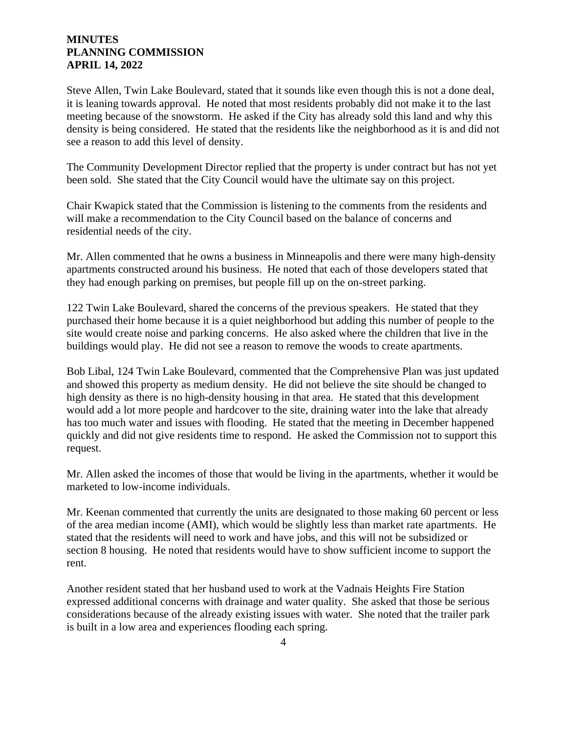Steve Allen, Twin Lake Boulevard, stated that it sounds like even though this is not a done deal, it is leaning towards approval. He noted that most residents probably did not make it to the last meeting because of the snowstorm. He asked if the City has already sold this land and why this density is being considered. He stated that the residents like the neighborhood as it is and did not see a reason to add this level of density.

The Community Development Director replied that the property is under contract but has not yet been sold. She stated that the City Council would have the ultimate say on this project.

Chair Kwapick stated that the Commission is listening to the comments from the residents and will make a recommendation to the City Council based on the balance of concerns and residential needs of the city.

Mr. Allen commented that he owns a business in Minneapolis and there were many high-density apartments constructed around his business. He noted that each of those developers stated that they had enough parking on premises, but people fill up on the on-street parking.

122 Twin Lake Boulevard, shared the concerns of the previous speakers. He stated that they purchased their home because it is a quiet neighborhood but adding this number of people to the site would create noise and parking concerns. He also asked where the children that live in the buildings would play. He did not see a reason to remove the woods to create apartments.

Bob Libal, 124 Twin Lake Boulevard, commented that the Comprehensive Plan was just updated and showed this property as medium density. He did not believe the site should be changed to high density as there is no high-density housing in that area. He stated that this development would add a lot more people and hardcover to the site, draining water into the lake that already has too much water and issues with flooding. He stated that the meeting in December happened quickly and did not give residents time to respond. He asked the Commission not to support this request.

Mr. Allen asked the incomes of those that would be living in the apartments, whether it would be marketed to low-income individuals.

Mr. Keenan commented that currently the units are designated to those making 60 percent or less of the area median income (AMI), which would be slightly less than market rate apartments. He stated that the residents will need to work and have jobs, and this will not be subsidized or section 8 housing. He noted that residents would have to show sufficient income to support the rent.

Another resident stated that her husband used to work at the Vadnais Heights Fire Station expressed additional concerns with drainage and water quality. She asked that those be serious considerations because of the already existing issues with water. She noted that the trailer park is built in a low area and experiences flooding each spring.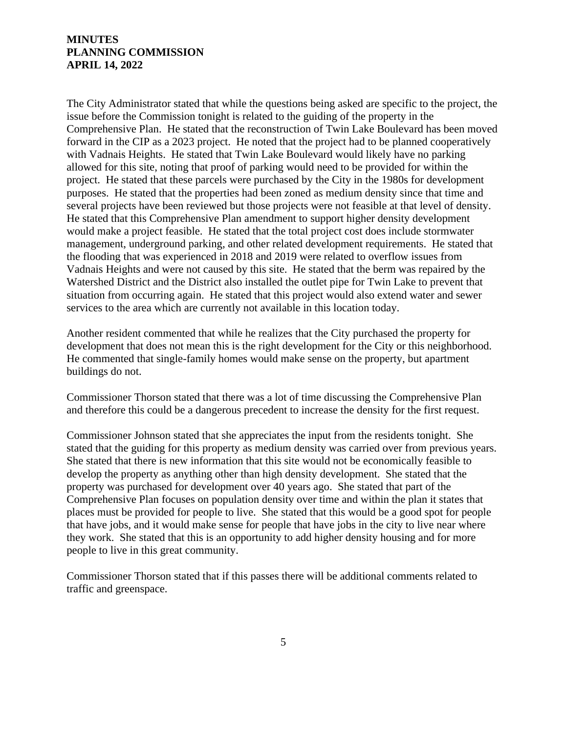The City Administrator stated that while the questions being asked are specific to the project, the issue before the Commission tonight is related to the guiding of the property in the Comprehensive Plan. He stated that the reconstruction of Twin Lake Boulevard has been moved forward in the CIP as a 2023 project. He noted that the project had to be planned cooperatively with Vadnais Heights. He stated that Twin Lake Boulevard would likely have no parking allowed for this site, noting that proof of parking would need to be provided for within the project. He stated that these parcels were purchased by the City in the 1980s for development purposes. He stated that the properties had been zoned as medium density since that time and several projects have been reviewed but those projects were not feasible at that level of density. He stated that this Comprehensive Plan amendment to support higher density development would make a project feasible. He stated that the total project cost does include stormwater management, underground parking, and other related development requirements. He stated that the flooding that was experienced in 2018 and 2019 were related to overflow issues from Vadnais Heights and were not caused by this site. He stated that the berm was repaired by the Watershed District and the District also installed the outlet pipe for Twin Lake to prevent that situation from occurring again. He stated that this project would also extend water and sewer services to the area which are currently not available in this location today.

Another resident commented that while he realizes that the City purchased the property for development that does not mean this is the right development for the City or this neighborhood. He commented that single-family homes would make sense on the property, but apartment buildings do not.

Commissioner Thorson stated that there was a lot of time discussing the Comprehensive Plan and therefore this could be a dangerous precedent to increase the density for the first request.

Commissioner Johnson stated that she appreciates the input from the residents tonight. She stated that the guiding for this property as medium density was carried over from previous years. She stated that there is new information that this site would not be economically feasible to develop the property as anything other than high density development. She stated that the property was purchased for development over 40 years ago. She stated that part of the Comprehensive Plan focuses on population density over time and within the plan it states that places must be provided for people to live. She stated that this would be a good spot for people that have jobs, and it would make sense for people that have jobs in the city to live near where they work. She stated that this is an opportunity to add higher density housing and for more people to live in this great community.

Commissioner Thorson stated that if this passes there will be additional comments related to traffic and greenspace.